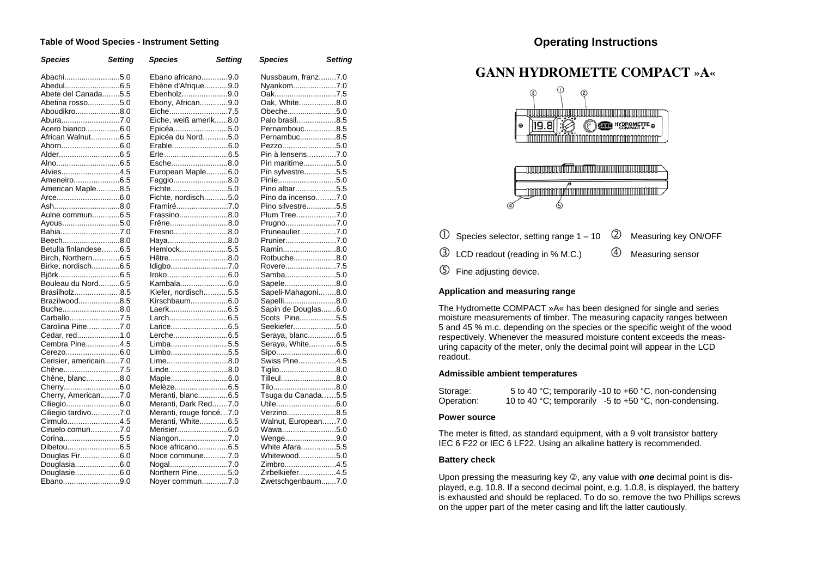#### **Table of Wood Species - Instrument Setting**

| <b>Species</b>         | <b>Setting</b> | <b>Species</b>          | <b>Setting</b> | <b>Species</b>      | <b>Setting</b> |
|------------------------|----------------|-------------------------|----------------|---------------------|----------------|
| Abachi5.0              |                | Ebano africano9.0       |                | Nussbaum, franz7.0  |                |
| Abedul6.5              |                | Ebène d'Afrique9.0      |                | Nyankom7.0          |                |
| Abete del Canada5.5    |                | Ebenholz9.0             |                | Oak7.5              |                |
| Abetina rosso5.0       |                | Ebony, African9.0       |                | Oak, White8.0       |                |
| Aboudikro8.0           |                | Eiche7.5                |                | Obeche5.0           |                |
| Abura7.0               |                | Eiche, weiß amerik8.0   |                | Palo brasil8.5      |                |
| Acero bianco6.0        |                | Epicéa5.0               |                | Pernambouc8.5       |                |
| African Walnut6.5      |                | Epicéa du Nord5.0       |                | Pernambuc8.5        |                |
|                        |                | Erable6.0               |                | Pezzo5.0            |                |
|                        |                |                         |                | Pin à lensens7.0    |                |
|                        |                | Esche8.0                |                | Pin maritime5.0     |                |
| Alvies4.5              |                | European Maple6.0       |                | Pin sylvestre5.5    |                |
| Ameneiro6.5            |                | Faggio8.0               |                | Pinie5.0            |                |
| American Maple8.5      |                | Fichte5.0               |                | Pino albar5.5       |                |
|                        |                | Fichte, nordisch5.0     |                | Pino da incenso7.0  |                |
| Ash8.0                 |                | Framiré7.0              |                | Pino silvestre5.5   |                |
| Aulne commun6.5        |                | Frassino8.0             |                | Plum Tree7.0        |                |
| Ayous5.0               |                | Frêne8.0                |                | Prugno7.0           |                |
| Bahia7.0               |                | Fresno8.0               |                | Pruneaulier7.0      |                |
| Beech8.0               |                | Haya8.0                 |                | Prunier7.0          |                |
| Betulla finlandese6.5  |                | Hemlock5.5              |                | Ramin8.0            |                |
| Birch, Northern6.5     |                | Hêtre8.0                |                | Rotbuche8.0         |                |
| Birke, nordisch6.5     |                |                         |                | Rovere7.5           |                |
|                        |                |                         |                | Samba5.0            |                |
| Bouleau du Nord6.5     |                | Kambala6.0              |                | Sapele8.0           |                |
| Brasilholz8.5          |                | Kiefer, nordisch5.5     |                | Sapeli-Mahagoni8.0  |                |
| Brazilwood8.5          |                | Kirschbaum6.0           |                | Sapelli8.0          |                |
| Buche8.0               |                |                         |                | Sapin de Douglas6.0 |                |
| Carballo7.5            |                | Larch6.5                |                | Scots Pine5.5       |                |
| Carolina Pine7.0       |                |                         |                | Seekiefer5.0        |                |
| Cedar, red1.0          |                | Lerche6.5               |                | Seraya, blanc6.5    |                |
| Cembra Pine4.5         |                | Limba5.5                |                | Seraya, White6.5    |                |
|                        |                | Limbo5.5                |                |                     |                |
| Cerisier, americain7.0 |                | Lime8.0                 |                | Swiss Pine4.5       |                |
| Chêne7.5               |                | Linde8.0                |                | Tiglio8.0           |                |
| Chêne, blanc8.0        |                | Maple6.0                |                | Tilleul8.0          |                |
| Cherry6.0              |                | Melèze6.5               |                | Tilo8.0             |                |
| Cherry, American7.0    |                | Meranti, blanc6.5       |                | Tsuga du Canada5.5  |                |
| Ciliegio6.0            |                | Meranti, Dark Red7.0    |                |                     |                |
| Ciliegio tardivo7.0    |                | Meranti, rouge foncé7.0 |                | Verzino8.5          |                |
| Cirmulo4.5             |                | Meranti, White6.5       |                | Walnut, European7.0 |                |
| Ciruelo comun7.0       |                | Merisier6.0             |                | Wawa5.0             |                |
| Corina5.5              |                | Niangon7.0              |                | Wenge9.0            |                |
|                        |                | Noce africano6.5        |                | White Afara5.5      |                |
| Douglas Fir6.0         |                | Noce commune7.0         |                | Whitewood5.0        |                |
| Douglasia6.0           |                | Nogal7.0                |                | Zimbro4.5           |                |
| Douglasie6.0           |                | Northern Pine5.0        |                | Zirbelkiefer4.5     |                |
| Ebano9.0               |                | Nover commun7.0         |                | Zwetschgenbaum7.0   |                |

# **GANN HYDROMETTE COMPACT »A«**



- ➀ Species selector, setting range 1 – 10 ➁ Measuring key ON/OFF ➂ LCD readout (reading in % M.C.) ➃Measuring sensor
- $\circledS$ Fine adjusting device.

#### **Application and measuring range**

The Hydromette COMPACT »A« has been designed for single and series moisture measurements of timber. The measuring capacity ranges between 5 and 45 % m.c. depending on the species or the specific weight of the wood respectively. Whenever the measured moisture content exceeds the measuring capacity of the meter, only the decimal point will appear in the LCD readout.

#### **Admissible ambient temperatures**

| Storage:   | 5 to 40 °C; temporarily -10 to +60 °C, non-condensing      |
|------------|------------------------------------------------------------|
| Operation: | 10 to 40 °C; temporarily $-5$ to $+50$ °C, non-condensing. |

#### **Power source**

The meter is fitted, as standard equipment, with a 9 volt transistor battery IEC 6 F22 or IEC 6 LF22. Using an alkaline battery is recommended.

#### **Battery check**

Upon pressing the measuring key ➁, any value with *one* decimal point is displayed, e.g. 10.8. If a second decimal point, e.g. 1.0.8, is displayed, the battery is exhausted and should be replaced. To do so, remove the two Phillips screws on the upper part of the meter casing and lift the latter cautiously.